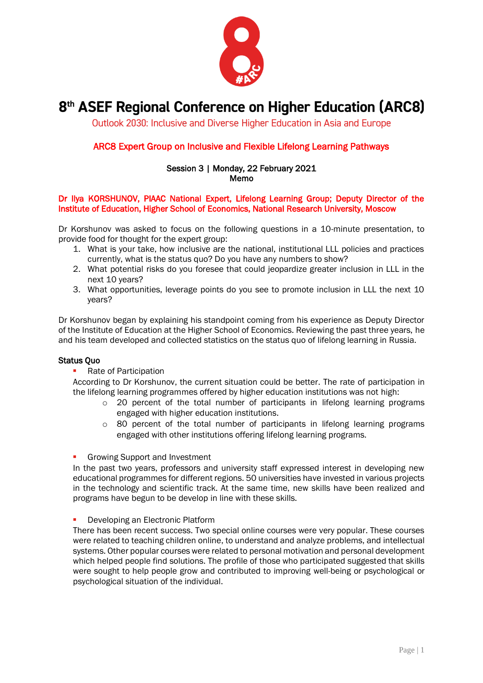

# 8<sup>th</sup> ASEF Regional Conference on Higher Education (ARC8)

Outlook 2030: Inclusive and Diverse Higher Education in Asia and Europe

## ARC8 Expert Group on Inclusive and Flexible Lifelong Learning Pathways

#### Session 3 | Monday, 22 February 2021 Memo

### Dr Ilya KORSHUNOV, PIAAC National Expert, Lifelong Learning Group; Deputy Director of the Institute of Education, Higher School of Economics, National Research University, Moscow

Dr Korshunov was asked to focus on the following questions in a 10-minute presentation, to provide food for thought for the expert group:

- 1. What is your take, how inclusive are the national, institutional LLL policies and practices currently, what is the status quo? Do you have any numbers to show?
- 2. What potential risks do you foresee that could jeopardize greater inclusion in LLL in the next 10 years?
- 3. What opportunities, leverage points do you see to promote inclusion in LLL the next 10 years?

Dr Korshunov began by explaining his standpoint coming from his experience as Deputy Director of the Institute of Education at the Higher School of Economics. Reviewing the past three years, he and his team developed and collected statistics on the status quo of lifelong learning in Russia.

### Status Quo

■ Rate of Participation

According to Dr Korshunov, the current situation could be better. The rate of participation in the lifelong learning programmes offered by higher education institutions was not high:

- o 20 percent of the total number of participants in lifelong learning programs engaged with higher education institutions.
- o 80 percent of the total number of participants in lifelong learning programs engaged with other institutions offering lifelong learning programs.
- Growing Support and Investment

In the past two years, professors and university staff expressed interest in developing new educational programmes for different regions. 50 universities have invested in various projects in the technology and scientific track. At the same time, new skills have been realized and programs have begun to be develop in line with these skills.

**•** Developing an Electronic Platform

There has been recent success. Two special online courses were very popular. These courses were related to teaching children online, to understand and analyze problems, and intellectual systems. Other popular courses were related to personal motivation and personal development which helped people find solutions. The profile of those who participated suggested that skills were sought to help people grow and contributed to improving well-being or psychological or psychological situation of the individual.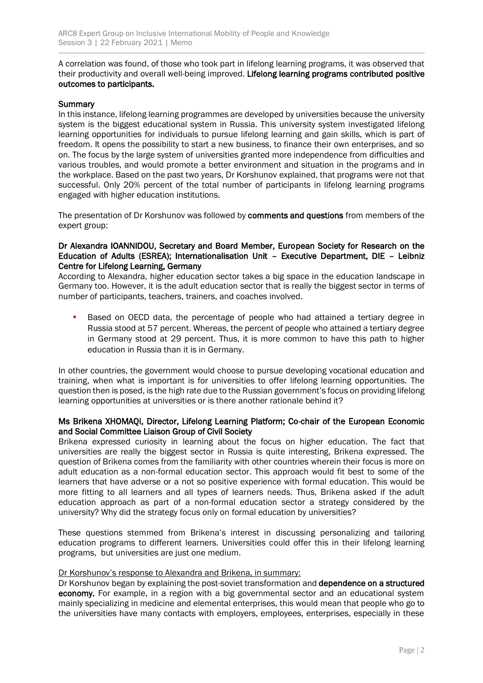A correlation was found, of those who took part in lifelong learning programs, it was observed that their productivity and overall well-being improved. Lifelong learning programs contributed positive outcomes to participants.

### **Summary**

In this instance, lifelong learning programmes are developed by universities because the university system is the biggest educational system in Russia. This university system investigated lifelong learning opportunities for individuals to pursue lifelong learning and gain skills, which is part of freedom. It opens the possibility to start a new business, to finance their own enterprises, and so on. The focus by the large system of universities granted more independence from difficulties and various troubles, and would promote a better environment and situation in the programs and in the workplace. Based on the past two years, Dr Korshunov explained, that programs were not that successful. Only 20% percent of the total number of participants in lifelong learning programs engaged with higher education institutions.

The presentation of Dr Korshunov was followed by comments and questions from members of the expert group:

### Dr Alexandra IOANNIDOU, Secretary and Board Member, European Society for Research on the Education of Adults (ESREA); Internationalisation Unit – Executive Department, DIE – Leibniz Centre for Lifelong Learning, Germany

According to Alexandra, higher education sector takes a big space in the education landscape in Germany too. However, it is the adult education sector that is really the biggest sector in terms of number of participants, teachers, trainers, and coaches involved.

Based on OECD data, the percentage of people who had attained a tertiary degree in Russia stood at 57 percent. Whereas, the percent of people who attained a tertiary degree in Germany stood at 29 percent. Thus, it is more common to have this path to higher education in Russia than it is in Germany.

In other countries, the government would choose to pursue developing vocational education and training, when what is important is for universities to offer lifelong learning opportunities. The question then is posed, is the high rate due to the Russian government's focus on providing lifelong learning opportunities at universities or is there another rationale behind it?

### Ms Brikena XHOMAQI, Director, Lifelong Learning Platform; Co-chair of the European Economic and Social Committee Liaison Group of Civil Society

Brikena expressed curiosity in learning about the focus on higher education. The fact that universities are really the biggest sector in Russia is quite interesting, Brikena expressed. The question of Brikena comes from the familiarity with other countries wherein their focus is more on adult education as a non-formal education sector. This approach would fit best to some of the learners that have adverse or a not so positive experience with formal education. This would be more fitting to all learners and all types of learners needs. Thus, Brikena asked if the adult education approach as part of a non-formal education sector a strategy considered by the university? Why did the strategy focus only on formal education by universities?

These questions stemmed from Brikena's interest in discussing personalizing and tailoring education programs to different learners. Universities could offer this in their lifelong learning programs, but universities are just one medium.

### Dr Korshunov's response to Alexandra and Brikena, in summary:

Dr Korshunov began by explaining the post-soviet transformation and **dependence on a structured** economy. For example, in a region with a big governmental sector and an educational system mainly specializing in medicine and elemental enterprises, this would mean that people who go to the universities have many contacts with employers, employees, enterprises, especially in these